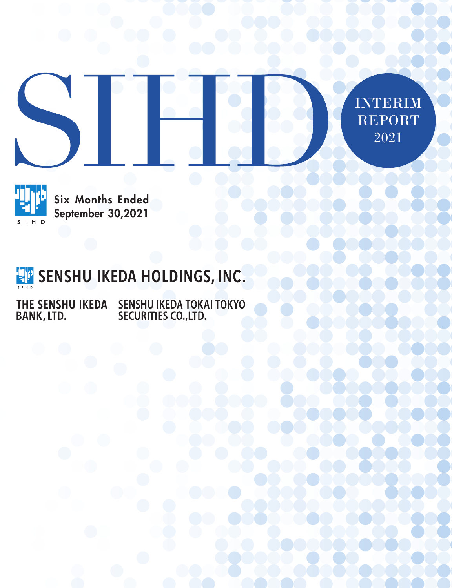



Six Months Ended September 30,2021

# **THE SENSHU IKEDA HOLDINGS, INC.**

SENSHU IKEDA TOKAI TOKYO<br>SECURITIES CO.,LTD. THE SENSHU IKEDA BANK, LTD.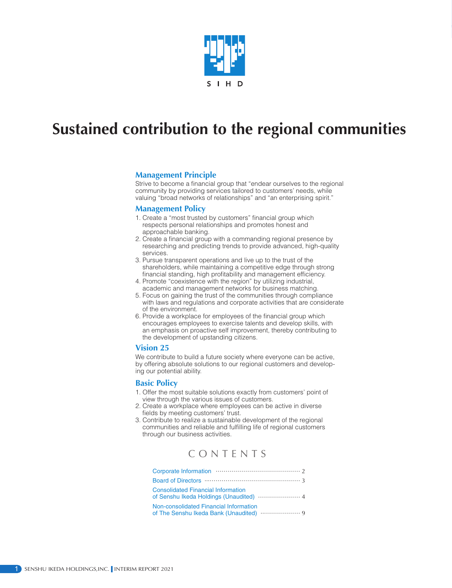

## **Sustained contribution to the regional communities**

#### **Management Principle**

Strive to become a financial group that "endear ourselves to the regional community by providing services tailored to customers' needs, while valuing "broad networks of relationships" and "an enterprising spirit."

#### **Management Policy**

- 1. Create a "most trusted by customers" financial group which respects personal relationships and promotes honest and approachable banking.
- 2. Create a financial group with a commanding regional presence by researching and predicting trends to provide advanced, high-quality services.
- 3. Pursue transparent operations and live up to the trust of the shareholders, while maintaining a competitive edge through strong financial standing, high profitability and management efficiency.
- 4. Promote "coexistence with the region" by utilizing industrial, academic and management networks for business matching.
- 5. Focus on gaining the trust of the communities through compliance with laws and regulations and corporate activities that are considerate of the environment.
- 6. Provide a workplace for employees of the financial group which encourages employees to exercise talents and develop skills, with an emphasis on proactive self improvement, thereby contributing to the development of upstanding citizens.

#### **Vision 25**

We contribute to build a future society where everyone can be active, by offering absolute solutions to our regional customers and developing our potential ability.

#### **Basic Policy**

- 1. Offer the most suitable solutions exactly from customers' point of view through the various issues of customers.
- 2. Create a workplace where employees can be active in diverse fields by meeting customers' trust.
- 3. Contribute to realize a sustainable development of the regional communities and reliable and fulfilling life of regional customers through our business activities.

## CONTENTS

| <b>Consolidated Financial Information</b> |
|-------------------------------------------|
| Non-consolidated Financial Information    |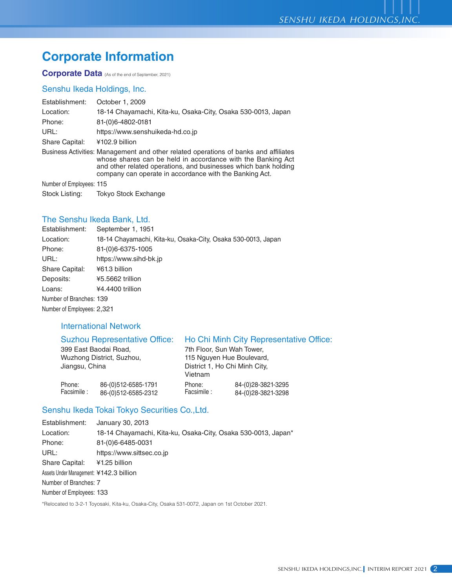## **Corporate Information**

**Corporate Data** (As of the end of September, 2021)

## Senshu Ikeda Holdings, Inc.

| Establishment:           | October 1, 2009                                                                                                                                                                                                                                                                   |
|--------------------------|-----------------------------------------------------------------------------------------------------------------------------------------------------------------------------------------------------------------------------------------------------------------------------------|
| Location:                | 18-14 Chayamachi, Kita-ku, Osaka-City, Osaka 530-0013, Japan                                                                                                                                                                                                                      |
| Phone:                   | 81-(0)6-4802-0181                                                                                                                                                                                                                                                                 |
| URL:                     | https://www.senshuikeda-hd.co.jp                                                                                                                                                                                                                                                  |
| Share Capital:           | ¥102.9 billion                                                                                                                                                                                                                                                                    |
|                          | Business Activities: Management and other related operations of banks and affiliates<br>whose shares can be held in accordance with the Banking Act<br>and other related operations, and businesses which bank holding<br>company can operate in accordance with the Banking Act. |
| Number of Employees: 115 |                                                                                                                                                                                                                                                                                   |
| Stock Listing:           | <b>Tokyo Stock Exchange</b>                                                                                                                                                                                                                                                       |

## The Senshu Ikeda Bank, Ltd.

| Establishment:             | September 1, 1951                                            |
|----------------------------|--------------------------------------------------------------|
| Location:                  | 18-14 Chayamachi, Kita-ku, Osaka-City, Osaka 530-0013, Japan |
| Phone:                     | 81-(0)6-6375-1005                                            |
| URL:                       | https://www.sihd-bk.jp                                       |
| Share Capital:             | ¥61.3 billion                                                |
| Deposits:                  | ¥5.5662 trillion                                             |
| Loans:                     | ¥4.4400 trillion                                             |
| Number of Branches: 139    |                                                              |
| Number of Employees: 2,321 |                                                              |
|                            |                                                              |

## International Network

|                | <b>Suzhou Representative Office:</b> |                               | Ho Chi Minh City Representative Office: |  |  |
|----------------|--------------------------------------|-------------------------------|-----------------------------------------|--|--|
|                | 399 East Baodai Road,                | 7th Floor, Sun Wah Tower,     |                                         |  |  |
|                | Wuzhong District, Suzhou,            | 115 Nguyen Hue Boulevard,     |                                         |  |  |
| Jiangsu, China |                                      | District 1, Ho Chi Minh City, |                                         |  |  |
|                |                                      | Vietnam                       |                                         |  |  |
| Phone:         | 86-(0)512-6585-1791                  | Phone:                        | 84-(0)28-3821-3295                      |  |  |
| Facsimile :    | 86-(0)512-6585-2312                  | Facsimile :                   | 84-(0)28-3821-3298                      |  |  |

## Senshu Ikeda Tokai Tokyo Securities Co.,Ltd.

| Establishment:                          | January 30, 2013                                              |
|-----------------------------------------|---------------------------------------------------------------|
| Location:                               | 18-14 Chayamachi, Kita-ku, Osaka-City, Osaka 530-0013, Japan* |
| Phone:                                  | 81-(0)6-6485-0031                                             |
| URL:                                    | https://www.sittsec.co.jp                                     |
| Share Capital:                          | ¥1.25 billion                                                 |
| Assets Under Management: ¥142.3 billion |                                                               |
| Number of Branches: 7                   |                                                               |
| Number of Employees: 133                |                                                               |
|                                         |                                                               |

\*Relocated to 3-2-1 Toyosaki, Kita-ku, Osaka-City, Osaka 531-0072, Japan on 1st October 2021.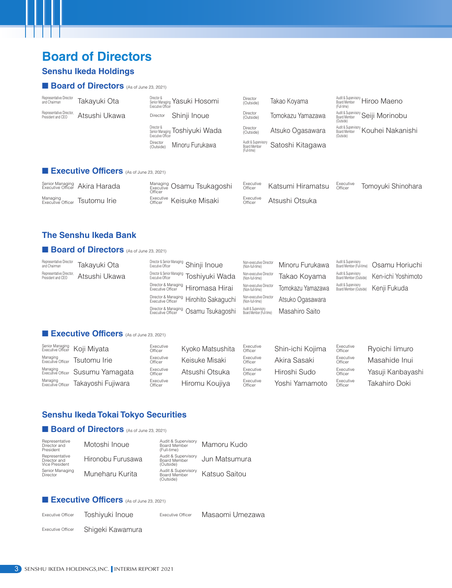## **Board of Directors**

## **Senshu Ikeda Holdings**

### **Board of Directors** (As of June 23, 2021)

| Representative Director<br>and Chairman       | Takayuki Ota                                    | Director &<br>Executive Officer | Senior Managing Yasuki Hosomi  | Director<br>(Outside)                              | Takao Koyama      | (Full-time)          | Audit & Supervisory Hiroo Maeno                     |
|-----------------------------------------------|-------------------------------------------------|---------------------------------|--------------------------------|----------------------------------------------------|-------------------|----------------------|-----------------------------------------------------|
| Representative Director,<br>President and CEO | Atsushi Ukawa                                   | Director                        | Shinji Inoue                   | <b>Director</b><br>(Outside)                       | Tomokazu Yamazawa | (Outside)            | Audit & Supervisory<br>Roard Member "Seiji Morinobu |
|                                               |                                                 | Director &<br>Executive Officer | Senior Managing Toshiyuki Wada | Director<br>(Outside)                              | Atsuko Ogasawara  | (Outside)            | Audit & Supervisory Kouhei Nakanishi                |
|                                               |                                                 | Director<br>(Outside)           | Minoru Furukawa                | Audit & Supervisory<br>Board Member<br>(Full-time) | Satoshi Kitagawa  |                      |                                                     |
|                                               | <b>Executive Officers</b> (As of June 23, 2021) |                                 |                                |                                                    |                   |                      |                                                     |
| Senior Managing<br>Executive Officer          | Akira Harada                                    | Officer                         | Managing Osamu Tsukagoshi      | Executive<br>Officer                               | Katsumi Hiramatsu | Executive<br>Officer | Tomoyuki Shinohara                                  |

Executive Atsushi Otsuka

Executive Officer Keisuke Misaki

### **The Senshu Ikeda Bank**

Managing<br><sub>Executive Officer</sub> Tsutomu Irie

#### **Board of Directors** (As of June 23, 2021)

| Representative Director<br>and Chairman       | Takayuki Ota  | Director & Senior Managing Shinji Inoue   | Non-executive Director<br>(Non-full-time)       | Minoru Furukawa   |                                                                  |
|-----------------------------------------------|---------------|-------------------------------------------|-------------------------------------------------|-------------------|------------------------------------------------------------------|
| Representative Director,<br>President and CEO | Atsushi Ukawa | Director & Senior Managing Toshiyuki Wada | Non-executive Director<br>(Non-full-time)       | Takao Koyama      | Audit & Supervisory<br>Board Member (Outside) Ken-ichi Yoshimoto |
|                                               |               | Director & Managing Hiromasa Hirai        | Non-executive Director<br>(Non-full-time)       | Tomokazu Yamazawa | Audit & Supervisory<br>Board Member (Outside)     Kenji Fukuda   |
|                                               |               | Director & Managing Hirohito Sakaguchi    | Non-executive Director<br>(Non-full-time)       | Atsuko Ogasawara  |                                                                  |
|                                               |               | Director & Managing Osamu Tsukagoshi      | Audit & Supervisory<br>Board Member (Full-time) | Masahiro Saito    |                                                                  |
|                                               |               |                                           |                                                 |                   |                                                                  |

## **n** Executive Officers (As of June 23, 2021)

|                               | Senior Managing Koji Miyata                   | Executive<br>Officer | Kyoko Matsushita | Executive<br>Officer | Shin-ichi Kojima | Executive<br>Officer | Ryoichi limuro    |
|-------------------------------|-----------------------------------------------|----------------------|------------------|----------------------|------------------|----------------------|-------------------|
|                               | Managing<br>Executive Officer TSutomu Irie    | Executive<br>Officer | Keisuke Misaki   | Executive<br>Officer | Akira Sasaki     | Executive<br>Officer | Masahide Inui     |
|                               | Managing<br>Executive Officer Susumu Yamagata | Executive<br>Officer | Atsushi Otsuka   | Executive<br>Officer | Hiroshi Sudo     | Executive<br>Officer | Yasuji Kanbayashi |
| Managing<br>Executive Officer | Takayoshi Fujiwara                            | Executive<br>Officer | Hiromu Koujiya   | Executive<br>Officer | Yoshi Yamamoto   | Executive<br>Officer | Takahiro Doki     |

### **Senshu Ikeda Tokai Tokyo Securities**

## **Board of Directors** (As of June 23, 2021)

| Representative<br>Director and<br>President      | Motoshi Inoue     | Audit & Supervisory<br>Board Member<br>(Full-time) | Mamoru Kudo   |
|--------------------------------------------------|-------------------|----------------------------------------------------|---------------|
| Representative<br>Director and<br>Vice President | Hironobu Furusawa | Audit & Supervisory<br>Board Member<br>(Outside)   | Jun Matsumura |
| Senior Managing<br><b>Director</b>               | Muneharu Kurita   | Audit & Supervisory<br>Board Member<br>(Outside)   | Katsuo Saitou |

#### **Executive Officers** (As of June 23, 2021)

Executive Officer Toshiyuki Inoue Executive Officer Masaomi Umezawa

Executive Officer Shigeki Kawamura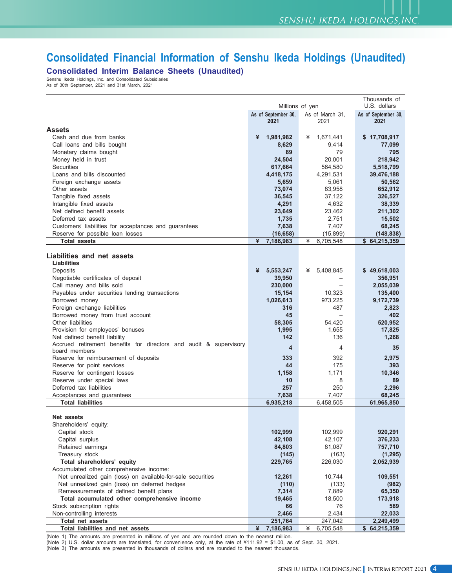## **Consolidated Financial Information of Senshu Ikeda Holdings (Unaudited)**

**Consolidated Interim Balance Sheets (Unaudited)**

Senshu Ikeda Holdings, Inc. and Consolidated Subsidiaries As of 30th September, 2021 and 31st March, 2021

|                                                                   | Thousands of<br>U.S. dollars<br>Millions of yen |                          |                             |  |  |  |
|-------------------------------------------------------------------|-------------------------------------------------|--------------------------|-----------------------------|--|--|--|
|                                                                   |                                                 |                          |                             |  |  |  |
|                                                                   | As of September 30,<br>2021                     | As of March 31,<br>2021  | As of September 30,<br>2021 |  |  |  |
| <b>Assets</b>                                                     |                                                 |                          |                             |  |  |  |
| Cash and due from banks                                           | ¥<br>1,981,982                                  | ¥<br>1,671,441           | \$17,708,917                |  |  |  |
| Call loans and bills bought                                       | 8,629                                           | 9,414                    | 77,099                      |  |  |  |
| Monetary claims bought                                            | 89                                              | 79                       | 795                         |  |  |  |
| Money held in trust                                               | 24,504                                          | 20,001                   | 218,942                     |  |  |  |
| Securities                                                        | 617,664                                         | 564,580                  | 5,518,799                   |  |  |  |
| Loans and bills discounted                                        | 4,418,175                                       | 4,291,531                | 39,476,188                  |  |  |  |
| Foreign exchange assets                                           | 5,659                                           | 5,061                    | 50,562                      |  |  |  |
| Other assets                                                      | 73,074                                          | 83,958                   | 652,912                     |  |  |  |
| Tangible fixed assets                                             | 36,545                                          | 37,122                   | 326,527                     |  |  |  |
| Intangible fixed assets                                           | 4,291                                           | 4,632                    | 38,339                      |  |  |  |
| Net defined benefit assets                                        | 23,649                                          | 23,462                   | 211,302                     |  |  |  |
| Deferred tax assets                                               | 1,735                                           | 2,751                    | 15,502                      |  |  |  |
| Customers' liabilities for acceptances and guarantees             | 7,638                                           | 7,407                    | 68,245                      |  |  |  |
| Reserve for possible loan losses                                  | (16, 658)                                       | (15, 899)                | (148, 838)                  |  |  |  |
| <b>Total assets</b>                                               | ¥<br>7,186,983                                  | 6,705,548<br>¥           | \$64,215,359                |  |  |  |
|                                                                   |                                                 |                          |                             |  |  |  |
| Liabilities and net assets                                        |                                                 |                          |                             |  |  |  |
| <b>Liabilities</b>                                                |                                                 |                          |                             |  |  |  |
| Deposits                                                          | ¥<br>5,553,247                                  | 5,408,845<br>¥           | \$49,618,003                |  |  |  |
| Negotiable certificates of deposit                                | 39,950                                          |                          | 356,951                     |  |  |  |
| Call maney and bills sold                                         | 230,000                                         |                          | 2,055,039                   |  |  |  |
| Payables under securities lending transactions                    | 15,154                                          | 10,323                   | 135,400                     |  |  |  |
| Borrowed money                                                    | 1,026,613                                       | 973,225                  | 9,172,739                   |  |  |  |
| Foreign exchange liabilities                                      | 316                                             | 487                      | 2,823                       |  |  |  |
| Borrowed money from trust account                                 | 45                                              | $\overline{\phantom{m}}$ | 402                         |  |  |  |
| Other liabilities                                                 | 58,305                                          | 54,420                   | 520,952                     |  |  |  |
| Provision for employees' bonuses                                  | 1,995                                           | 1,655                    | 17,825                      |  |  |  |
| Net defined benefit liability                                     | 142                                             | 136                      | 1,268                       |  |  |  |
| Accrued retirement benefits for directors and audit & supervisory | 4                                               | 4                        | 35                          |  |  |  |
| board members                                                     |                                                 |                          |                             |  |  |  |
| Reserve for reimbursement of deposits                             | 333                                             | 392                      | 2,975                       |  |  |  |
| Reserve for point services                                        | 44                                              | 175                      | 393                         |  |  |  |
| Reserve for contingent losses                                     | 1,158                                           | 1,171                    | 10,346                      |  |  |  |
| Reserve under special laws                                        | 10                                              | 8                        | 89                          |  |  |  |
| Deferred tax liabilities                                          | 257                                             | 250                      | 2,296                       |  |  |  |
| Acceptances and guarantees                                        | 7,638                                           | 7,407                    | 68,245                      |  |  |  |
| <b>Total liabilities</b>                                          | 6,935,218                                       | 6,458,505                | 61,965,850                  |  |  |  |
| Net assets                                                        |                                                 |                          |                             |  |  |  |
| Shareholders' equity:                                             |                                                 |                          |                             |  |  |  |
| Capital stock                                                     | 102,999                                         | 102,999                  | 920,291                     |  |  |  |
| Capital surplus                                                   | 42,108                                          | 42,107                   | 376,233                     |  |  |  |
| Retained earnings                                                 | 84,803                                          | 81,087                   | 757,710                     |  |  |  |
| Treasury stock                                                    | (145)                                           | (163)                    | (1, 295)                    |  |  |  |
| Total shareholders' equity                                        | 229,765                                         | 226,030                  | 2,052,939                   |  |  |  |
| Accumulated other comprehensive income:                           |                                                 |                          |                             |  |  |  |
| Net unrealized gain (loss) on available-for-sale securities       | 12,261                                          | 10,744                   | 109,551                     |  |  |  |
| Net unrealized gain (loss) on deferred hedges                     | (110)                                           | (133)                    | (982)                       |  |  |  |
| Remeasurements of defined benefit plans                           | 7,314                                           | 7,889                    | 65,350                      |  |  |  |
| Total accumulated other comprehensive income                      | 19,465                                          | 18,500                   | 173,918                     |  |  |  |
| Stock subscription rights                                         | 66                                              | 76                       | 589                         |  |  |  |
| Non-controlling interests                                         | 2,466                                           | 2,434                    | 22,033                      |  |  |  |
| Total net assets                                                  | 251,764                                         | 247,042                  | 2,249,499                   |  |  |  |
| Total liabilities and net assets                                  | ¥<br>7,186,983                                  | ¥<br>6,705,548           | \$64,215,359                |  |  |  |

(Note 1) The amounts are presented in millions of yen and are rounded down to the nearest million.

(Note 2) U.S. dollar amounts are translated, for convenience only, at the rate of ¥111.92 = \$1.00, as of Sept. 30, 2021.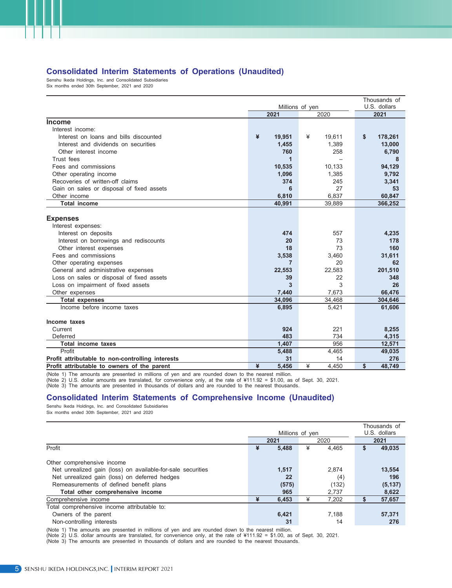#### **Consolidated Interim Statements of Operations (Unaudited)**

Senshu Ikeda Holdings, Inc. and Consolidated Subsidiaries Six months ended 30th September, 2021 and 2020

|                                                  | Thousands of    |              |               |  |  |
|--------------------------------------------------|-----------------|--------------|---------------|--|--|
|                                                  | Millions of yen | U.S. dollars |               |  |  |
|                                                  | 2021            | 2020         | 2021          |  |  |
| <b>Income</b>                                    |                 |              |               |  |  |
| Interest income:                                 |                 |              |               |  |  |
| Interest on loans and bills discounted           | ¥<br>19,951     | ¥<br>19.611  | \$<br>178,261 |  |  |
| Interest and dividends on securities             | 1,455           | 1,389        | 13,000        |  |  |
| Other interest income                            | 760             | 258          | 6,790         |  |  |
| Trust fees                                       | 1               |              | 8             |  |  |
| Fees and commissions                             | 10,535          | 10,133       | 94,129        |  |  |
| Other operating income                           | 1,096           | 1,385        | 9,792         |  |  |
| Recoveries of written-off claims                 | 374             | 245          | 3,341         |  |  |
| Gain on sales or disposal of fixed assets        | 6               | 27           | 53            |  |  |
| Other income                                     | 6.810           | 6,837        | 60,847        |  |  |
| <b>Total income</b>                              | 40,991          | 39,889       | 366,252       |  |  |
|                                                  |                 |              |               |  |  |
| <b>Expenses</b>                                  |                 |              |               |  |  |
| Interest expenses:                               |                 |              |               |  |  |
| Interest on deposits                             | 474             | 557          | 4,235         |  |  |
| Interest on borrowings and rediscounts           | 20              | 73           | 178           |  |  |
| Other interest expenses                          | 18              | 73           | 160           |  |  |
| Fees and commissions                             | 3,538           | 3,460        | 31,611        |  |  |
| Other operating expenses                         | 7               | 20           | 62            |  |  |
| General and administrative expenses              | 22,553          | 22,583       | 201,510       |  |  |
| Loss on sales or disposal of fixed assets        | 39              | 22           | 348           |  |  |
| Loss on impairment of fixed assets               | 3               | 3            | 26            |  |  |
| Other expenses                                   | 7,440           | 7,673        | 66,476        |  |  |
| <b>Total expenses</b>                            | 34,096          | 34,468       | 304,646       |  |  |
| Income before income taxes                       | 6,895           | 5,421        | 61,606        |  |  |
|                                                  |                 |              |               |  |  |
| Income taxes                                     |                 |              |               |  |  |
| Current                                          | 924             | 221          | 8,255         |  |  |
| Deferred                                         | 483             | 734          | 4,315         |  |  |
| <b>Total income taxes</b>                        | 1,407           | 956          | 12,571        |  |  |
| Profit                                           | 5,488           | 4,465        | 49,035        |  |  |
| Profit attributable to non-controlling interests | 31              | 14           | 276           |  |  |
| Profit attributable to owners of the parent      | ¥<br>5.456      | ¥<br>4.450   | \$<br>48.749  |  |  |

(Note 1) The amounts are presented in millions of yen and are rounded down to the nearest million.

(Note 2) U.S. dollar amounts are translated, for convenience only, at the rate of ¥111.92 = \$1.00, as of Sept. 30, 2021.

(Note 3) The amounts are presented in thousands of dollars and are rounded to the nearest thousands.

#### **Consolidated Interim Statements of Comprehensive Income (Unaudited)**

Senshu Ikeda Holdings, Inc. and Consolidated Subsidiaries Six months ended 30th September, 2021 and 2020

|                                                             | Millions of yen |       |   |       | Thousands of<br>U.S. dollars |          |
|-------------------------------------------------------------|-----------------|-------|---|-------|------------------------------|----------|
|                                                             |                 | 2021  |   | 2020  |                              | 2021     |
| Profit                                                      | ¥               | 5.488 | ¥ | 4.465 | \$                           | 49,035   |
|                                                             |                 |       |   |       |                              |          |
| Other comprehensive income                                  |                 |       |   |       |                              |          |
| Net unrealized gain (loss) on available-for-sale securities |                 | 1,517 |   | 2.874 |                              | 13,554   |
| Net unrealized gain (loss) on deferred hedges               |                 | 22    |   | (4)   |                              | 196      |
| Remeasurements of defined benefit plans                     |                 | (575) |   | (132) |                              | (5, 137) |
| Total other comprehensive income                            |                 | 965   |   | 2.737 |                              | 8,622    |
| Comprehensive income                                        | ¥               | 6,453 | ¥ | 7,202 |                              | 57,657   |
| Total comprehensive income attributable to:                 |                 |       |   |       |                              |          |
| Owners of the parent                                        |                 | 6,421 |   | 7,188 |                              | 57,371   |
| Non-controlling interests                                   |                 | 31    |   | 14    |                              | 276      |

(Note 1) The amounts are presented in millions of yen and are rounded down to the nearest million.

(Note 2) U.S. dollar amounts are translated, for convenience only, at the rate of ¥111.92 = \$1.00, as of Sept. 30, 2021. (Note 3) The amounts are presented in thousands of dollars and are rounded to the nearest thousands.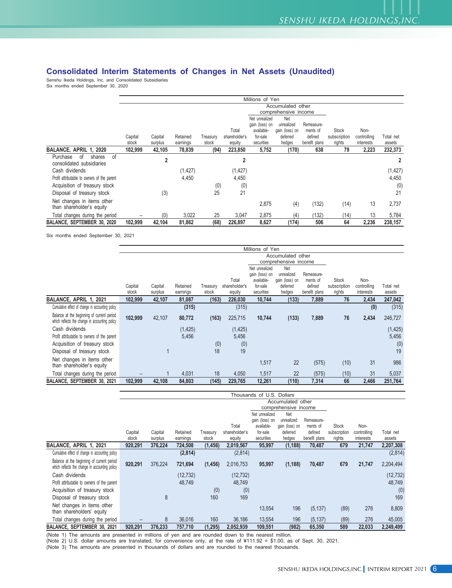## **Consolidated Interim Statements of Changes in Net Assets (Unaudited)**

Senshu Ikeda Holdings, Inc. and Consolidated Subsidiaries Six months ended September 30, 2020

|                                                             |                                           |                |          |          |                        | Millions of Yen                                            |                                                 |                                   |                              |                     |           |
|-------------------------------------------------------------|-------------------------------------------|----------------|----------|----------|------------------------|------------------------------------------------------------|-------------------------------------------------|-----------------------------------|------------------------------|---------------------|-----------|
|                                                             | Accumulated other<br>comprehensive income |                |          |          |                        |                                                            |                                                 |                                   |                              |                     |           |
|                                                             | Capital                                   | Capital        | Retained | Treasury | Total<br>shareholder's | Net unrealized<br>gain (loss) on<br>available-<br>for-sale | Net<br>unrealized<br>gain (loss) on<br>deferred | Remeasure-<br>ments of<br>defined | <b>Stock</b><br>subscription | Non-<br>controlling | Total net |
|                                                             | stock                                     | surplus        | earnings | stock    | equity                 | securities                                                 | hedges                                          | benefit plans                     | rights                       | interests           | assets    |
| BALANCE, APRIL 1, 2020                                      | 102,999                                   | 42,105         | 78,839   | (94)     | 223,850                | 5,752                                                      | (170)                                           | 638                               | 79                           | 2,223               | 232,373   |
| of<br>Purchase<br>of<br>shares<br>consolidated subsidiaries |                                           | $\overline{2}$ |          |          | $\overline{2}$         |                                                            |                                                 |                                   |                              |                     |           |
| Cash dividends                                              |                                           |                | (1, 427) |          | (1, 427)               |                                                            |                                                 |                                   |                              |                     | (1, 427)  |
| Profit attributable to owners of the parent                 |                                           |                | 4,450    |          | 4,450                  |                                                            |                                                 |                                   |                              |                     | 4,450     |
| Acquisition of treasury stock                               |                                           |                |          | (0)      | (0)                    |                                                            |                                                 |                                   |                              |                     | (0)       |
| Disposal of treasury stock                                  |                                           | (3)            |          | 25       | 21                     |                                                            |                                                 |                                   |                              |                     | 21        |
| Net changes in items other<br>than shareholder's equity     |                                           |                |          |          |                        | 2,875                                                      | (4)                                             | (132)                             | (14)                         | 13                  | 2,737     |
| Total changes during the period                             |                                           | (0)            | 3,022    | 25       | 3,047                  | 2,875                                                      | (4)                                             | (132)                             | (14)                         | 13                  | 5,784     |
| BALANCE, SEPTEMBER 30, 2020                                 | 102.999                                   | 42,104         | 81,862   | (68)     | 226,897                | 8,627                                                      | (174)                                           | 506                               | 64                           | 2,236               | 238,157   |

Six months ended September 30, 2021

|                                                                                              | Millions of Yen   |         |          |          |               |                              |                              |                        |              |             |           |
|----------------------------------------------------------------------------------------------|-------------------|---------|----------|----------|---------------|------------------------------|------------------------------|------------------------|--------------|-------------|-----------|
|                                                                                              | Accumulated other |         |          |          |               |                              |                              |                        |              |             |           |
|                                                                                              |                   |         |          |          |               |                              | comprehensive income         |                        |              |             |           |
|                                                                                              |                   |         |          |          |               | Net unrealized               | Net                          |                        |              |             |           |
|                                                                                              |                   |         |          |          | Total         | gain (loss) on<br>available- | unrealized<br>gain (loss) on | Remeasure-<br>ments of | <b>Stock</b> | Non-        |           |
|                                                                                              | Capital           | Capital | Retained | Treasury | shareholder's | for-sale                     | deferred                     | defined                | subscription | controlling | Total net |
|                                                                                              | stock             | surplus | earnings | stock    | equity        | securities                   | hedges                       | benefit plans          | rights       | interests   | assets    |
| BALANCE, APRIL 1, 2021                                                                       | 102,999           | 42,107  | 81,087   | (163)    | 226,030       | 10,744                       | (133)                        | 7,889                  | 76           | 2,434       | 247,042   |
| Cumulative effect of change in accounting policy                                             |                   |         | (315)    |          | (315)         |                              |                              |                        |              | (0)         | (315)     |
| Balance at the beginning of current period<br>which reflects the change in accounting policy | 102,999           | 42,107  | 80,772   | (163)    | 225,715       | 10,744                       | (133)                        | 7,889                  | 76           | 2,434       | 246,727   |
| Cash dividends                                                                               |                   |         | (1, 425) |          | (1, 425)      |                              |                              |                        |              |             | (1, 425)  |
| Profit attributable to owners of the parent                                                  |                   |         | 5,456    |          | 5,456         |                              |                              |                        |              |             | 5,456     |
| Acquisition of treasury stock                                                                |                   |         |          | (0)      | (0)           |                              |                              |                        |              |             | (0)       |
| Disposal of treasury stock                                                                   |                   |         |          | 18       | 19            |                              |                              |                        |              |             | 19        |
| Net changes in items other<br>than shareholder's equity                                      |                   |         |          |          |               | 1,517                        | 22                           | (575)                  | (10)         | 31          | 986       |
| Total changes during the period                                                              |                   |         | 4,031    | 18       | 4,050         | 1,517                        | 22                           | (575)                  | (10)         | 31          | 5,037     |
| BALANCE, SEPTEMBER 30, 2021                                                                  | 102,999           | 42,108  | 84,803   | (145)    | 229,765       | 12,261                       | (110)                        | 7,314                  | 66           | 2,466       | 251,764   |

|                                                                                              | Thousands of U.S. Dollars                     |         |           |          |               |                |                |               |              |             |           |
|----------------------------------------------------------------------------------------------|-----------------------------------------------|---------|-----------|----------|---------------|----------------|----------------|---------------|--------------|-------------|-----------|
|                                                                                              | Accumulated other                             |         |           |          |               |                |                |               |              |             |           |
|                                                                                              | comprehensive income<br>Net<br>Net unrealized |         |           |          |               |                |                |               |              |             |           |
|                                                                                              |                                               |         |           |          |               | gain (loss) on | unrealized     | Remeasure-    |              |             |           |
|                                                                                              |                                               |         |           |          | Total         | available-     | gain (loss) on | ments of      | <b>Stock</b> | Non-        |           |
|                                                                                              | Capital                                       | Capital | Retained  | Treasury | shareholder's | for-sale       | deferred       | defined       | subscription | controlling | Total net |
|                                                                                              | stock                                         | surplus | earnings  | stock    | equity        | securities     | hedges         | benefit plans | rights       | interests   | assets    |
| BALANCE, APRIL 1, 2021                                                                       | 920,291                                       | 376,224 | 724,508   | (1, 456) | 2,019,567     | 95,997         | (1, 188)       | 70,487        | 679          | 21,747      | 2,207,308 |
| Cumulative effect of change in accounting policy                                             |                                               |         | (2,814)   |          | (2,814)       |                |                |               |              |             | (2,814)   |
| Balance at the beginning of current period<br>which reflects the change in accounting policy | 920,291                                       | 376,224 | 721,694   | (1, 456) | 2,016,753     | 95,997         | (1, 188)       | 70,487        | 679          | 21,747      | 2,204,494 |
| Cash dividends                                                                               |                                               |         | (12, 732) |          | (12, 732)     |                |                |               |              |             | (12, 732) |
| Profit attributable to owners of the parent                                                  |                                               |         | 48,749    |          | 48,749        |                |                |               |              |             | 48,749    |
| Acquisition of treasury stock                                                                |                                               |         |           | (0)      | (0)           |                |                |               |              |             | (0)       |
| Disposal of treasury stock                                                                   |                                               | 8       |           | 160      | 169           |                |                |               |              |             | 169       |
| Net changes in items other<br>than shareholders' equity                                      |                                               |         |           |          |               | 13,554         | 196            | (5, 137)      | (89)         | 276         | 8,809     |
| Total changes during the period                                                              |                                               | 8       | 36,016    | 160      | 36,186        | 13,554         | 196            | (5, 137)      | (89)         | 276         | 45,005    |
| BALANCE, SEPTEMBER 30, 2021                                                                  | 920,291                                       | 376,233 | 757,710   | (1, 295) | 2,052,939     | 109,551        | (982)          | 65,350        | 589          | 22,033      | 2,249,499 |

(Note 1) The amounts are presented in millions of yen and are rounded down to the nearest million.

(Note 2) U.S. dollar amounts are translated, for convenience only, at the rate of ¥111.92 = \$1.00, as of Sept. 30, 2021.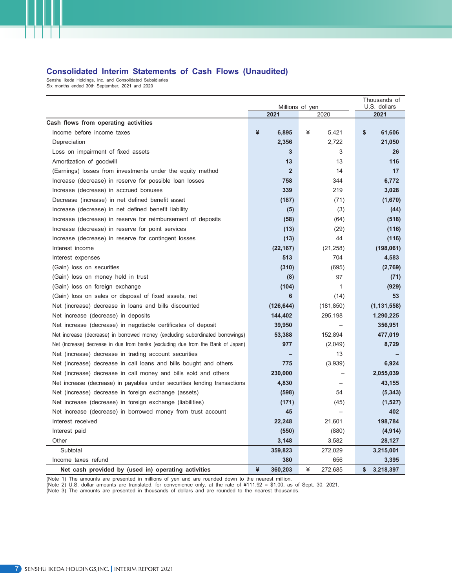#### **Consolidated Interim Statements of Cash Flows (Unaudited)**

Senshu Ikeda Holdings, Inc. and Consolidated Subsidiaries Six months ended 30th September, 2021 and 2020

|                                                                                  |                | Thousands of<br>U.S. dollars |                 |
|----------------------------------------------------------------------------------|----------------|------------------------------|-----------------|
|                                                                                  | 2021           | Millions of yen<br>2020      | 2021            |
| Cash flows from operating activities                                             |                |                              |                 |
| Income before income taxes                                                       | ¥<br>6,895     | ¥<br>5.421                   | \$<br>61,606    |
| Depreciation                                                                     | 2,356          | 2,722                        | 21,050          |
| Loss on impairment of fixed assets                                               | 3              | 3                            | 26              |
| Amortization of goodwill                                                         | 13             | 13                           | 116             |
| (Earnings) losses from investments under the equity method                       | $\overline{2}$ | 14                           | 17              |
| Increase (decrease) in reserve for possible loan losses                          | 758            | 344                          | 6,772           |
| Increase (decrease) in accrued bonuses                                           | 339            | 219                          | 3,028           |
| Decrease (increase) in net defined benefit asset                                 | (187)          | (71)                         | (1,670)         |
| Increase (decrease) in net defined benefit liability                             | (5)            | (3)                          | (44)            |
| Increase (decrease) in reserve for reimbursement of deposits                     | (58)           | (64)                         | (518)           |
| Increase (decrease) in reserve for point services                                | (13)           | (29)                         | (116)           |
| Increase (decrease) in reserve for contingent losses                             | (13)           | 44                           | (116)           |
| Interest income                                                                  | (22, 167)      | (21, 258)                    | (198,061)       |
| Interest expenses                                                                | 513            | 704                          | 4,583           |
| (Gain) loss on securities                                                        | (310)          | (695)                        | (2,769)         |
| (Gain) loss on money held in trust                                               | (8)            | 97                           | (71)            |
| (Gain) loss on foreign exchange                                                  | (104)          | $\mathbf{1}$                 | (929)           |
| (Gain) loss on sales or disposal of fixed assets, net                            | 6              | (14)                         | 53              |
| Net (increase) decrease in loans and bills discounted                            | (126, 644)     | (181, 850)                   | (1, 131, 558)   |
| Net increase (decrease) in deposits                                              | 144,402        | 295,198                      | 1,290,225       |
| Net increase (decrease) in negotiable certificates of deposit                    | 39,950         |                              | 356,951         |
| Net increase (decrease) in borrowed money (excluding subordinated borrowings)    | 53,388         | 152,894                      | 477,019         |
| Net (increase) decrease in due from banks (excluding due from the Bank of Japan) | 977            | (2,049)                      | 8,729           |
| Net (increase) decrease in trading account securities                            |                | 13                           |                 |
| Net (increase) decrease in call loans and bills bought and others                | 775            | (3,939)                      | 6,924           |
| Net (increase) decrease in call money and bills sold and others                  | 230,000        |                              | 2,055,039       |
| Net increase (decrease) in payables under securities lending transactions        | 4,830          |                              | 43,155          |
| Net (increase) decrease in foreign exchange (assets)                             | (598)          | 54                           | (5, 343)        |
| Net increase (decrease) in foreign exchange (liabilities)                        | (171)          | (45)                         | (1,527)         |
| Net increase (decrease) in borrowed money from trust account                     | 45             |                              | 402             |
| Interest received                                                                | 22,248         | 21,601                       | 198,784         |
| Interest paid                                                                    | (550)          | (880)                        | (4, 914)        |
| Other                                                                            | 3,148          | 3,582                        | 28,127          |
| Subtotal                                                                         | 359,823        | 272,029                      | 3,215,001       |
| Income taxes refund                                                              | 380            | 656                          | 3,395           |
| Net cash provided by (used in) operating activities                              | ¥<br>360,203   | ¥<br>272,685                 | \$<br>3,218,397 |

(Note 1) The amounts are presented in millions of yen and are rounded down to the nearest million.

(Note 2) U.S. dollar amounts are translated, for convenience only, at the rate of ¥111.92 = \$1.00, as of Sept. 30, 2021.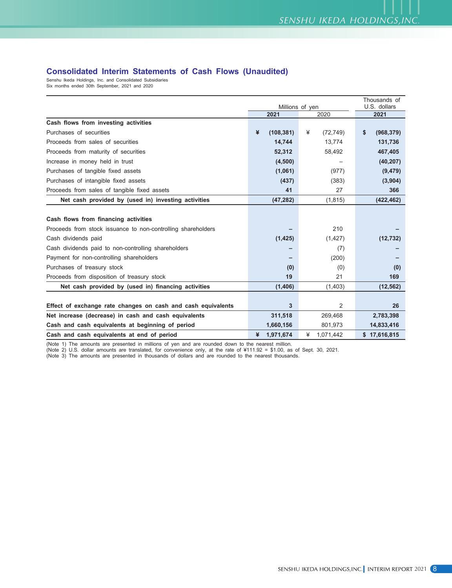### **Consolidated Interim Statements of Cash Flows (Unaudited)**

Senshu Ikeda Holdings, Inc. and Consolidated Subsidiaries Six months ended 30th September, 2021 and 2020

|                                                              |                 | Thousands of    |                  |
|--------------------------------------------------------------|-----------------|-----------------|------------------|
|                                                              |                 | Millions of yen | U.S. dollars     |
|                                                              | 2021            | 2020            | 2021             |
| Cash flows from investing activities                         |                 |                 |                  |
| Purchases of securities                                      | ¥<br>(108, 381) | ¥<br>(72, 749)  | \$<br>(968, 379) |
| Proceeds from sales of securities                            | 14,744          | 13,774          | 131,736          |
| Proceeds from maturity of securities                         | 52,312          | 58,492          | 467,405          |
| Increase in money held in trust                              | (4,500)         |                 | (40, 207)        |
| Purchases of tangible fixed assets                           | (1,061)         | (977)           | (9, 479)         |
| Purchases of intangible fixed assets                         | (437)           | (383)           | (3,904)          |
| Proceeds from sales of tangible fixed assets                 | 41              | 27              | 366              |
| Net cash provided by (used in) investing activities          | (47, 282)       | (1, 815)        | (422, 462)       |
|                                                              |                 |                 |                  |
| Cash flows from financing activities                         |                 |                 |                  |
| Proceeds from stock issuance to non-controlling shareholders |                 | 210             |                  |
| Cash dividends paid                                          | (1, 425)        | (1, 427)        | (12, 732)        |
| Cash dividends paid to non-controlling shareholders          |                 | (7)             |                  |
| Payment for non-controlling shareholders                     |                 | (200)           |                  |
| Purchases of treasury stock                                  | (0)             | (0)             | (0)              |
| Proceeds from disposition of treasury stock                  | 19              | 21              | 169              |
| Net cash provided by (used in) financing activities          | (1,406)         | (1,403)         | (12, 562)        |
|                                                              |                 |                 |                  |
| Effect of exchange rate changes on cash and cash equivalents | 3               | $\overline{2}$  | 26               |
| Net increase (decrease) in cash and cash equivalents         | 311,518         | 269,468         | 2,783,398        |
| Cash and cash equivalents at beginning of period             | 1,660,156       | 801,973         | 14,833,416       |
| Cash and cash equivalents at end of period                   | 1,971,674<br>¥  | ¥<br>1.071.442  | \$17,616,815     |

(Note 1) The amounts are presented in millions of yen and are rounded down to the nearest million.

(Note 2) U.S. dollar amounts are translated, for convenience only, at the rate of ¥111.92 = \$1.00, as of Sept. 30, 2021.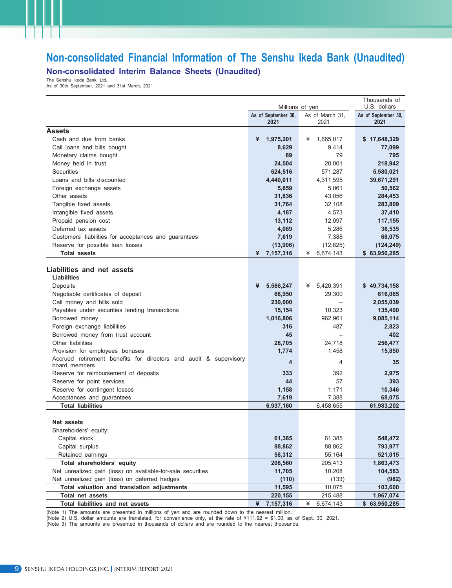## **Non-consolidated Financial Information of The Senshu Ikeda Bank (Unaudited) Non-consolidated Interim Balance Sheets (Unaudited)**

The Senshu Ikeda Bank, Ltd.

As of 30th September, 2021 and 31st March, 2021

|                                                                                    | Millions of yen     | Thousands of<br>U.S. dollars |                     |
|------------------------------------------------------------------------------------|---------------------|------------------------------|---------------------|
|                                                                                    | As of September 30, | As of March 31,              | As of September 30, |
|                                                                                    | 2021                | 2021                         | 2021                |
| <b>Assets</b>                                                                      |                     |                              |                     |
| Cash and due from banks                                                            | ¥<br>1,975,201      | 1,665,017<br>¥               | \$17,648,329        |
| Call loans and bills bought                                                        | 8,629               | 9,414                        | 77,099              |
| Monetary claims bought                                                             | 89                  | 79                           | 795                 |
| Money held in trust                                                                | 24,504              | 20,001                       | 218,942             |
| <b>Securities</b>                                                                  | 624,516             | 571,287                      | 5,580,021           |
| Loans and bills discounted                                                         | 4,440,011           | 4,311,595                    | 39,671,291          |
| Foreign exchange assets                                                            | 5,659               | 5,061                        | 50,562              |
| Other assets                                                                       | 31,836              | 43,056                       | 284,453             |
| Tangible fixed assets                                                              | 31,764              | 32,108                       | 283,809             |
| Intangible fixed assets                                                            | 4,187               | 4,573                        | 37,410              |
| Prepaid pension cost                                                               | 13,112              | 12,097                       | 117,155             |
| Deferred tax assets                                                                | 4,089               | 5,286                        | 36,535              |
| Customers' liabilities for acceptances and guarantees                              | 7,619               | 7,388                        | 68,075              |
| Reserve for possible loan losses                                                   | (13,906)            | (12, 825)                    | (124, 249)          |
| <b>Total assets</b>                                                                | ¥<br>7,157,316      | ¥<br>6,674,143               | \$63,950,285        |
|                                                                                    |                     |                              |                     |
| Liabilities and net assets                                                         |                     |                              |                     |
| Liabilities                                                                        |                     |                              |                     |
| Deposits                                                                           | ¥<br>5,566,247      | 5,420,391<br>¥               | \$49,734,158        |
| Negotiable certificates of deposit                                                 | 68,950              | 29,300                       | 616,065             |
| Call money and bills sold                                                          | 230,000             |                              | 2,055,039           |
| Payables under securities lending transactions                                     | 15,154              | 10,323                       | 135,400             |
| Borrowed money                                                                     | 1,016,806           | 962,961                      | 9,085,114           |
| Foreign exchange liabilities                                                       | 316                 | 487                          | 2,823               |
| Borrowed money from trust account                                                  | 45                  | $\overline{\phantom{0}}$     | 402                 |
| Other liabilities                                                                  | 28,705              | 24,718                       | 256,477             |
| Provision for employees' bonuses                                                   | 1,774               | 1,458                        | 15,850              |
| Accrued retirement benefits for directors and audit & supervisory<br>board members | 4                   | 4                            | 35                  |
| Reserve for reimbursement of deposits                                              | 333                 | 392                          | 2,975               |
| Reserve for point services                                                         | 44                  | 57                           | 393                 |
| Reserve for contingent losses                                                      | 1,158               | 1,171                        | 10,346              |
| Acceptances and guarantees                                                         | 7,619               | 7,388                        | 68,075              |
| <b>Total liabilities</b>                                                           | 6,937,160           | 6,458,655                    | 61,983,202          |
|                                                                                    |                     |                              |                     |
| Net assets                                                                         |                     |                              |                     |
| Shareholders' equity:                                                              |                     |                              |                     |
| Capital stock                                                                      | 61,385              | 61,385                       | 548,472             |
| Capital surplus                                                                    | 88,862              | 88,862                       | 793,977             |
| Retained earnings                                                                  | 58,312              | 55,164                       | 521,015             |
| Total shareholders' equity                                                         | 208,560             | 205,413                      | 1,863,473           |
| Net unrealized gain (loss) on available-for-sale securities                        | 11,705              | 10,208                       | 104,583             |
| Net unrealized gain (loss) on deferred hedges                                      | (110)               | (133)                        | (982)               |
| Total valuation and translation adjustments                                        | 11,595              | 10,075                       | 103,600             |
| Total net assets                                                                   | 220,155             | 215,488                      | 1,967,074           |
| Total liabilities and net assets                                                   | ¥<br>7,157,316      | ¥<br>6,674,143               | \$63,950,285        |

(Note 1) The amounts are presented in millions of yen and are rounded down to the nearest million.

(Note 2) U.S. dollar amounts are translated, for convenience only, at the rate of ¥111.92 = \$1.00, as of Sept. 30, 2021.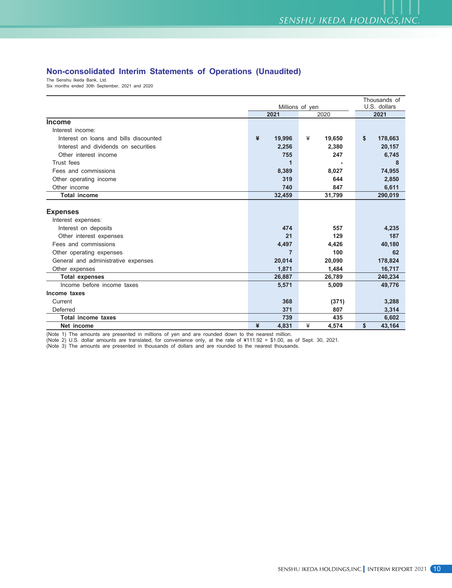## **Non-consolidated Interim Statements of Operations (Unaudited)**

The Senshu Ikeda Bank, Ltd.

Six months ended 30th September, 2021 and 2020

|                                        |             | Thousands of    |               |  |
|----------------------------------------|-------------|-----------------|---------------|--|
|                                        |             | Millions of yen | U.S. dollars  |  |
|                                        | 2021        | 2020            | 2021          |  |
| <b>Income</b>                          |             |                 |               |  |
| Interest income:                       |             |                 |               |  |
| Interest on loans and bills discounted | ¥<br>19,996 | ¥<br>19,650     | \$<br>178,663 |  |
| Interest and dividends on securities   | 2,256       | 2,380           | 20,157        |  |
| Other interest income                  | 755         | 247             | 6,745         |  |
| Trust fees                             | 1           |                 | 8             |  |
| Fees and commissions                   | 8,389       | 8,027           | 74,955        |  |
| Other operating income                 | 319         | 644             | 2,850         |  |
| Other income                           | 740         | 847             | 6,611         |  |
| <b>Total income</b>                    | 32,459      | 31,799          | 290,019       |  |
|                                        |             |                 |               |  |
| <b>Expenses</b>                        |             |                 |               |  |
| Interest expenses:                     |             |                 |               |  |
| Interest on deposits                   | 474         | 557             | 4,235         |  |
| Other interest expenses                | 21          | 129             | 187           |  |
| Fees and commissions                   | 4,497       | 4,426           | 40,180        |  |
| Other operating expenses               | 7           | 100             | 62            |  |
| General and administrative expenses    | 20,014      | 20,090          | 178,824       |  |
| Other expenses                         | 1,871       | 1,484           | 16,717        |  |
| <b>Total expenses</b>                  | 26,887      | 26,789          | 240,234       |  |
| Income before income taxes             | 5,571       | 5,009           | 49,776        |  |
| Income taxes                           |             |                 |               |  |
| Current                                | 368         | (371)           | 3,288         |  |
| Deferred                               | 371         | 807             | 3,314         |  |
| <b>Total income taxes</b>              | 739         | 435             | 6,602         |  |
| Net income                             | ¥<br>4,831  | ¥<br>4.574      | \$<br>43.164  |  |

(Note 1) The amounts are presented in millions of yen and are rounded down to the nearest million.

(Note 2) U.S. dollar amounts are translated, for convenience only, at the rate of ¥111.92 = \$1.00, as of Sept. 30, 2021.